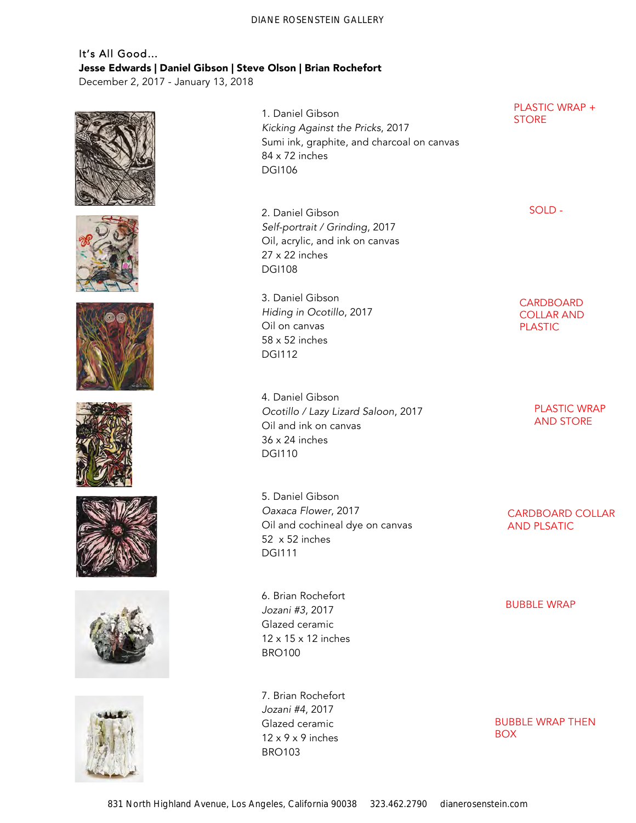# It's All Good… Jesse Edwards | Daniel Gibson | Steve Olson | Brian Rochefort

December 2, 2017 - January 13, 2018















1. Daniel Gibson *Kicking Against the Pricks*, 2017 Sumi ink, graphite, and charcoal on canvas 84 x 72 inches DGI106

2. Daniel Gibson *Self-portrait / Grinding*, 2017 Oil, acrylic, and ink on canvas 27 x 22 inches DGI108

3. Daniel Gibson *Hiding in Ocotillo*, 2017 Oil on canvas 58 x 52 inches DGI112

4. Daniel Gibson *Ocotillo / Lazy Lizard Saloon*, 2017 Oil and ink on canvas 36 x 24 inches DGI110

5. Daniel Gibson *Oaxaca Flower*, 2017 Oil and cochineal dye on canvas 52 x 52 inches DGI111

6. Brian Rochefort *Jozani #3*, 2017 Glazed ceramic 12 x 15 x 12 inches BRO100

7. Brian Rochefort *Jozani #4*, 2017 Glazed ceramic  $12 \times 9 \times 9$  inches BRO103

PLASTIC WRAP + **STORE** 

SOLD -

**CARDBOARD** COLLAR AND PLASTIC

> PLASTIC WRAP AND STORE

CARDBOARD COLLAR AND PLSATIC

BUBBLE WRAP

BUBBLE WRAP THEN BOX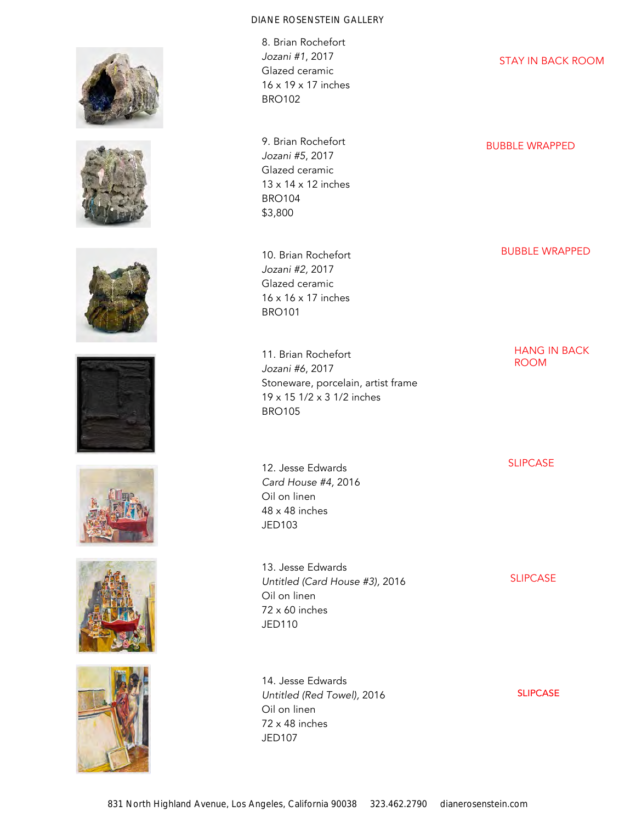













8. Brian Rochefort *Jozani #1*, 2017 Glazed ceramic 16 x 19 x 17 inches BRO102

9. Brian Rochefort *Jozani #5*, 2017 Glazed ceramic 13 x 14 x 12 inches BRO104 \$3,800

10. Brian Rochefort *Jozani #2,* 2017 Glazed ceramic 16 x 16 x 17 inches BRO101

11. Brian Rochefort *Jozani #6*, 2017 Stoneware, porcelain, artist frame 19 x 15 1/2 x 3 1/2 inches BRO105

12. Jesse Edwards *Card House #4,* 2016 Oil on linen 48 x 48 inches JED103

13. Jesse Edwards *Untitled (Card House #3),* 2016 Oil on linen 72 x 60 inches JED110

14. Jesse Edwards *Untitled (Red Towel),* 2016 Oil on linen 72 x 48 inches JED107

STAY IN BACK ROOM

BUBBLE WRAPPED

BUBBLE WRAPPED

HANG IN BACK ROOM

SLIPCASE

SLIPCASE

SLIPCASE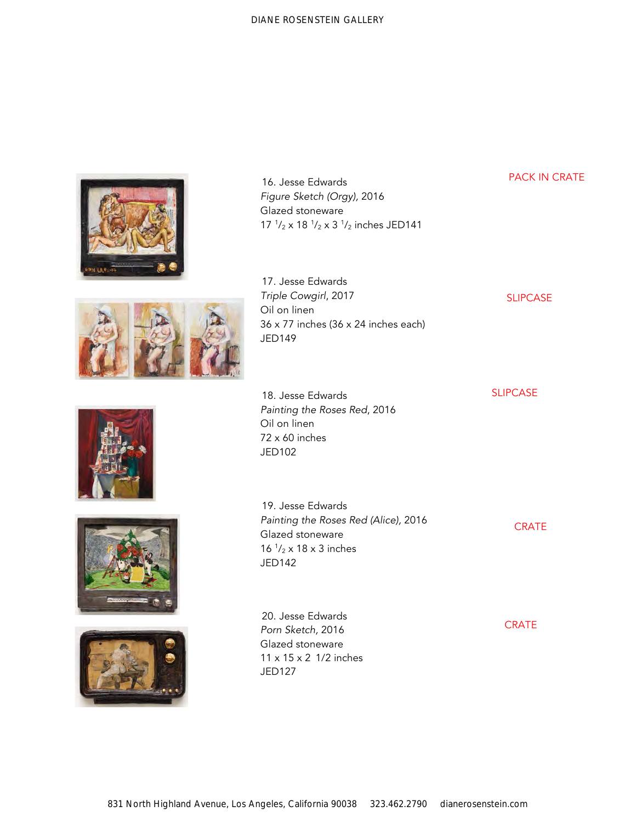| 16. Jesse Edwards<br>Figure Sketch (Orgy), 2016<br>Glazed stoneware<br>$17 \frac{1}{2} \times 18 \frac{1}{2} \times 3 \frac{1}{2}$ inches JED141 | <b>PACK IN CRATE</b> |
|--------------------------------------------------------------------------------------------------------------------------------------------------|----------------------|
| 17. Jesse Edwards<br>Triple Cowgirl, 2017<br>Oil on linen<br>$36 \times 77$ inches ( $36 \times 24$ inches each)<br><b>JED149</b>                | <b>SLIPCASE</b>      |
| 18. Jesse Edwards<br>Painting the Roses Red, 2016<br>Oil on linen<br>72 x 60 inches<br>JED102                                                    | <b>SLIPCASE</b>      |
| 19. Jesse Edwards<br>Painting the Roses Red (Alice), 2016<br>Glazed stoneware<br>16 $\frac{1}{2}$ x 18 x 3 inches<br><b>JED142</b>               | <b>CRATE</b>         |
| 20. Jesse Edwards<br>Porn Sketch, 2016<br>Glazed stoneware<br>11 x 15 x 2 1/2 inches<br><b>JED127</b>                                            | <b>CRATE</b>         |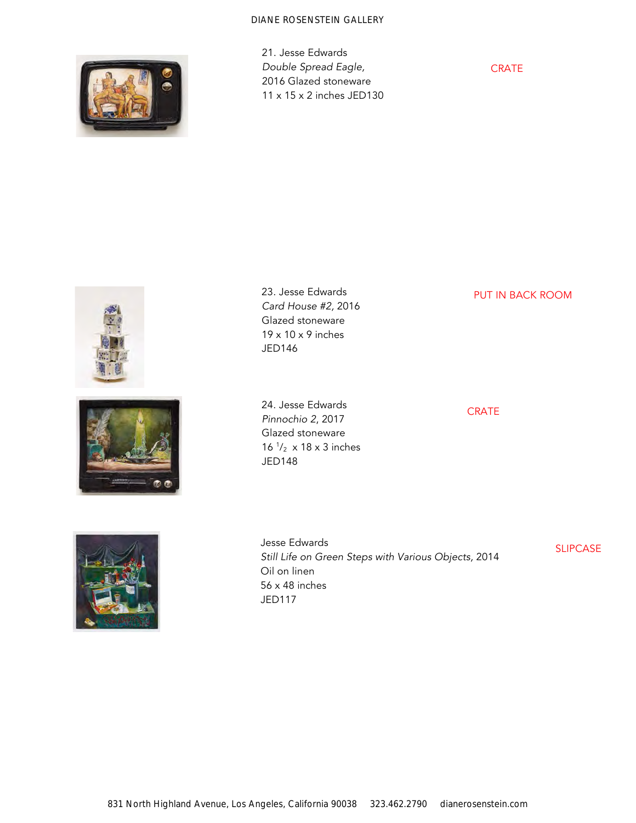

21. Jesse Edwards *Double Spread Eagle,* 2016 Glazed stoneware 11 x 15 x 2 inches JED130

**CRATE** 





23. Jesse Edwards *Card House #2,* 2016 Glazed stoneware 19 x 10 x 9 inches JED146

24. Jesse Edwards *Pinnochio 2*, 2017 Glazed stoneware 16  $\frac{1}{2}$  x 18 x 3 inches JED148

PUT IN BACK ROOM

**CRATE** 



Jesse Edwards *Still Life on Green Steps with Various Objects,* 2014 Oil on linen 56 x 48 inches JED117

SLIPCASE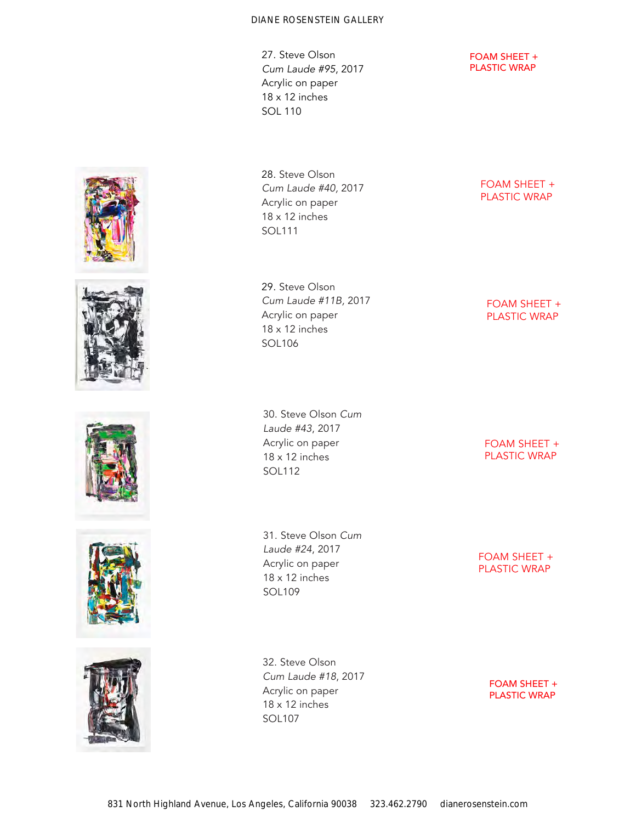27. Steve Olson *Cum Laude #*95, 2017 Acrylic on paper 18 x 12 inches SOL 110

28. Steve Olson *Cum Laude #40,* 2017 Acrylic on paper 18 x 12 inches SOL111

29. Steve Olson *Cum Laude #11B,* 2017 Acrylic on paper 18 x 12 inches SOL106

30. Steve Olson *Cum Laude #43*, 2017 Acrylic on paper 18 x 12 inches SOL112

31. Steve Olson *Cum Laude #24*, 2017 Acrylic on paper 18 x 12 inches SOL109

32. Steve Olson

SOL107

*Cum Laude #18*, 2017 Acrylic on paper 18 x 12 inches

FOAM SHEET + PLASTIC WRAP

FOAM SHEET + PLASTIC WRAP

FOAM SHEET + PLASTIC WRAP

> FOAM SHEET + PLASTIC WRAP















FOAM SHEET + PLASTIC WRAP

> FOAM SHEET + PLASTIC WRAP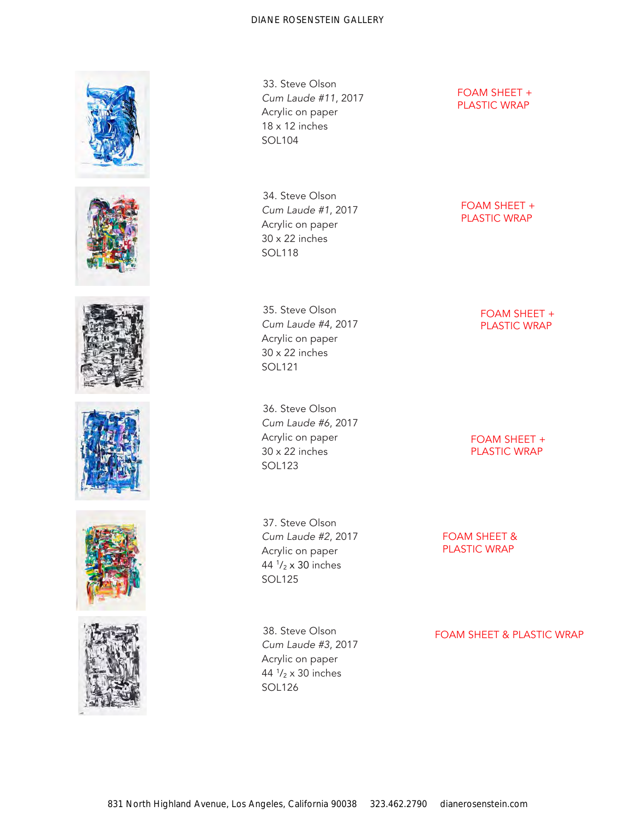











33. Steve Olson *Cum Laude #11*, 2017 Acrylic on paper 18 x 12 inches SOL104

34. Steve Olson *Cum Laude #1*, 2017 Acrylic on paper 30 x 22 inches SOL118

35. Steve Olson *Cum Laude #4*, 2017 Acrylic on paper 30 x 22 inches SOL121

36. Steve Olson *Cum Laude #6*, 2017 Acrylic on paper 30 x 22 inches SOL123

FOAM SHEET + PLASTIC WRAP

FOAM SHEET + PLASTIC WRAP

> FOAM SHEET + PLASTIC WRAP

FOAM SHEET + PLASTIC WRAP

37. Steve Olson *Cum Laude #2*, 2017 Acrylic on paper 44 <sup>1</sup> /<sup>2</sup> x 30 inches SOL125

38. Steve Olson *Cum Laude #3*, 2017 Acrylic on paper 44 <sup>1</sup> /<sup>2</sup> x 30 inches SOL126

FOAM SHEET & PLASTIC WRAP

FOAM SHEET & PLASTIC WRAP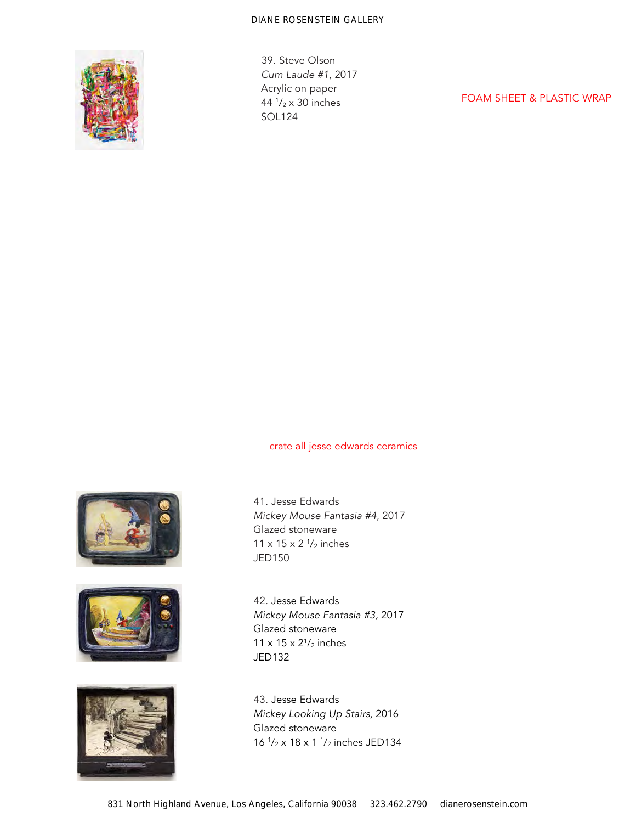

39. Steve Olson *Cum Laude #1*, 2017 Acrylic on paper 44 <sup>1</sup> /<sup>2</sup> x 30 inches SOL124

FOAM SHEET & PLASTIC WRAP

# crate all jesse edwards ceramics







41. Jesse Edwards *Mickey Mouse Fantasia #4*, 2017 Glazed stoneware 11 x 15 x 2  $\frac{1}{2}$  inches JED150

42. Jesse Edwards *Mickey Mouse Fantasia #3,* 2017 Glazed stoneware 11 x 15 x  $2^{1}/2$  inches JED132

43. Jesse Edwards *Mickey Looking Up Stairs,* 2016 Glazed stoneware 16  $\frac{1}{2}$  x 18 x 1  $\frac{1}{2}$  inches JED134